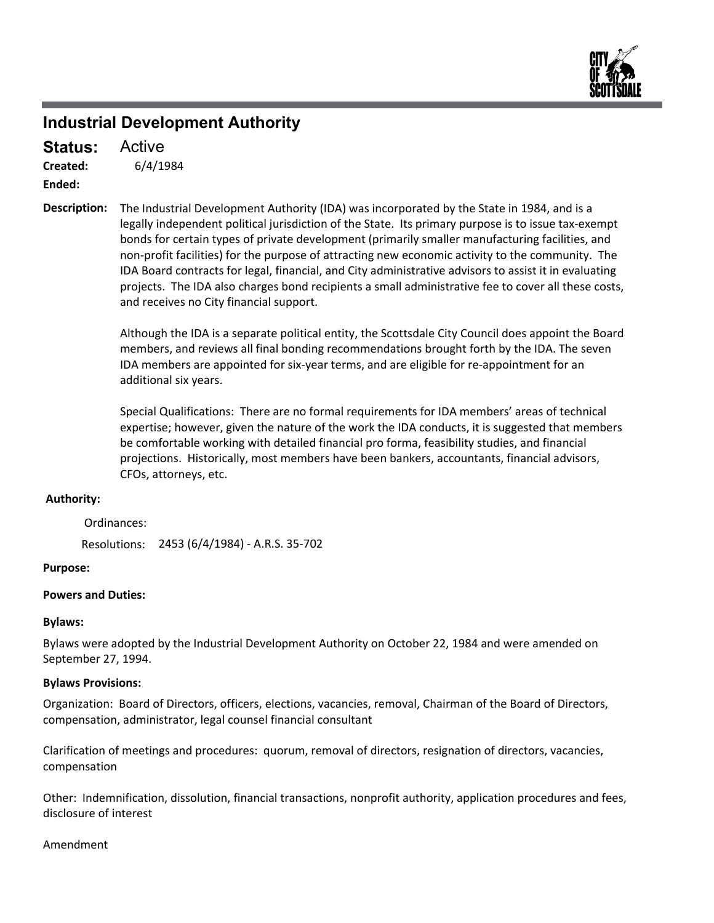

## **Industrial Development Authority**

6/4/1984 **Created:** Active **Status:**

**Ended:**

The Industrial Development Authority (IDA) was incorporated by the State in 1984, and is a legally independent political jurisdiction of the State. Its primary purpose is to issue tax‐exempt bonds for certain types of private development (primarily smaller manufacturing facilities, and non‐profit facilities) for the purpose of attracting new economic activity to the community. The IDA Board contracts for legal, financial, and City administrative advisors to assist it in evaluating projects. The IDA also charges bond recipients a small administrative fee to cover all these costs, and receives no City financial support. **Description:**

> Although the IDA is a separate political entity, the Scottsdale City Council does appoint the Board members, and reviews all final bonding recommendations brought forth by the IDA. The seven IDA members are appointed for six-year terms, and are eligible for re-appointment for an additional six years.

> Special Qualifications: There are no formal requirements for IDA members' areas of technical expertise; however, given the nature of the work the IDA conducts, it is suggested that members be comfortable working with detailed financial pro forma, feasibility studies, and financial projections. Historically, most members have been bankers, accountants, financial advisors, CFOs, attorneys, etc.

#### **Authority:**

Ordinances:

Resolutions: 2453 (6/4/1984) ‐ A.R.S. 35‐702

#### **Purpose:**

#### **Powers and Duties:**

#### **Bylaws:**

Bylaws were adopted by the Industrial Development Authority on October 22, 1984 and were amended on September 27, 1994.

#### **Bylaws Provisions:**

Organization: Board of Directors, officers, elections, vacancies, removal, Chairman of the Board of Directors, compensation, administrator, legal counsel financial consultant

Clarification of meetings and procedures: quorum, removal of directors, resignation of directors, vacancies, compensation

Other: Indemnification, dissolution, financial transactions, nonprofit authority, application procedures and fees, disclosure of interest

#### Amendment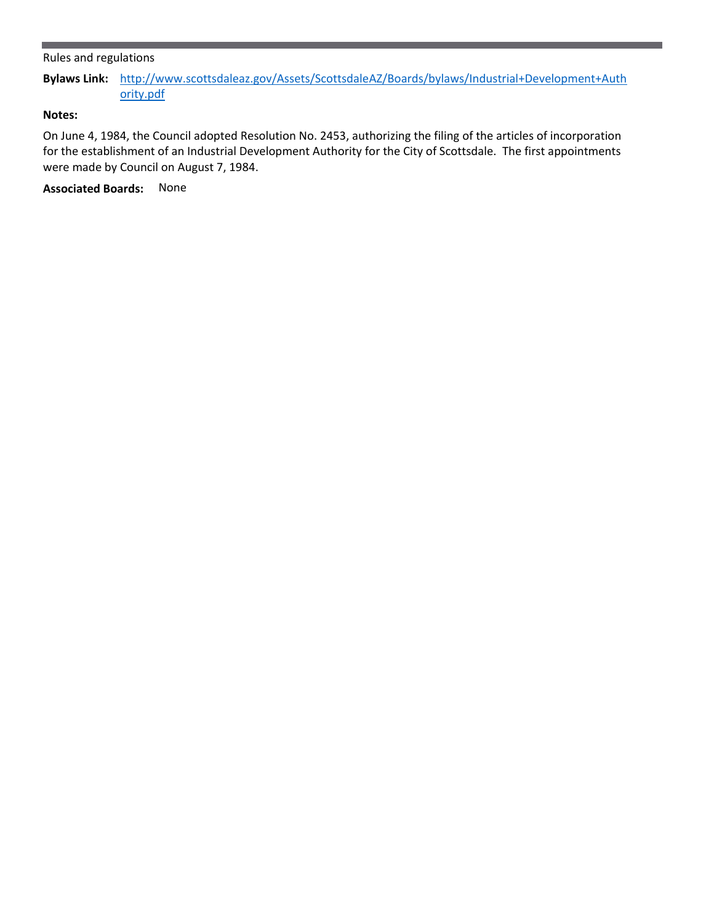#### Rules and regulations

**Bylaws Link:** [http://www.scottsdaleaz.gov/Assets/ScottsdaleAZ/Boards/bylaws/Industrial+Development+Auth](https://www.scottsdaleaz.gov/Assets/ScottsdaleAZ/Boards/bylaws/Industrial+Development+Authority.pdf) [ority.pdf](https://www.scottsdaleaz.gov/Assets/ScottsdaleAZ/Boards/bylaws/Industrial+Development+Authority.pdf)

### **Notes:**

On June 4, 1984, the Council adopted Resolution No. 2453, authorizing the filing of the articles of incorporation for the establishment of an Industrial Development Authority for the City of Scottsdale. The first appointments were made by Council on August 7, 1984.

**Associated Boards:** None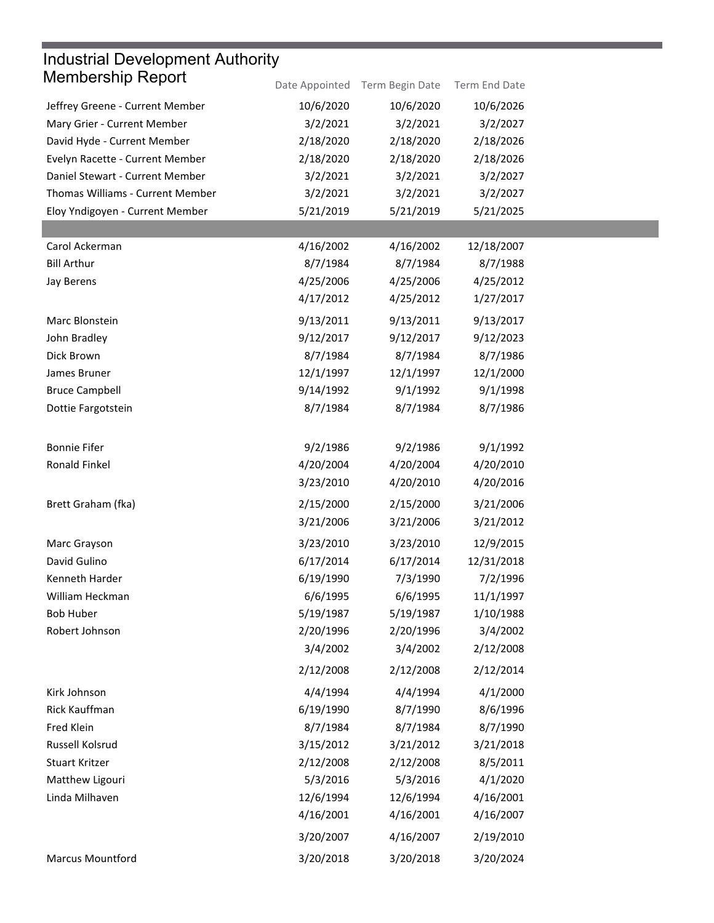| <b>Industrial Development Authority</b> |                |                 |               |  |  |  |
|-----------------------------------------|----------------|-----------------|---------------|--|--|--|
| <b>Membership Report</b>                | Date Appointed | Term Begin Date | Term End Date |  |  |  |
| Jeffrey Greene - Current Member         | 10/6/2020      | 10/6/2020       | 10/6/2026     |  |  |  |
| Mary Grier - Current Member             | 3/2/2021       | 3/2/2021        | 3/2/2027      |  |  |  |
| David Hyde - Current Member             | 2/18/2020      | 2/18/2020       | 2/18/2026     |  |  |  |
| Evelyn Racette - Current Member         | 2/18/2020      | 2/18/2020       | 2/18/2026     |  |  |  |
| Daniel Stewart - Current Member         | 3/2/2021       | 3/2/2021        | 3/2/2027      |  |  |  |
| Thomas Williams - Current Member        | 3/2/2021       | 3/2/2021        | 3/2/2027      |  |  |  |
| Eloy Yndigoyen - Current Member         | 5/21/2019      | 5/21/2019       | 5/21/2025     |  |  |  |
|                                         |                |                 |               |  |  |  |
| Carol Ackerman                          | 4/16/2002      | 4/16/2002       | 12/18/2007    |  |  |  |
| <b>Bill Arthur</b>                      | 8/7/1984       | 8/7/1984        | 8/7/1988      |  |  |  |
| <b>Jay Berens</b>                       | 4/25/2006      | 4/25/2006       | 4/25/2012     |  |  |  |
|                                         | 4/17/2012      | 4/25/2012       | 1/27/2017     |  |  |  |
| Marc Blonstein                          | 9/13/2011      | 9/13/2011       | 9/13/2017     |  |  |  |
| John Bradley                            | 9/12/2017      | 9/12/2017       | 9/12/2023     |  |  |  |
| Dick Brown                              | 8/7/1984       | 8/7/1984        | 8/7/1986      |  |  |  |
| James Bruner                            | 12/1/1997      | 12/1/1997       | 12/1/2000     |  |  |  |
| <b>Bruce Campbell</b>                   | 9/14/1992      | 9/1/1992        | 9/1/1998      |  |  |  |
| Dottie Fargotstein                      | 8/7/1984       | 8/7/1984        | 8/7/1986      |  |  |  |
|                                         |                |                 |               |  |  |  |
| <b>Bonnie Fifer</b>                     | 9/2/1986       | 9/2/1986        | 9/1/1992      |  |  |  |
| Ronald Finkel                           | 4/20/2004      | 4/20/2004       | 4/20/2010     |  |  |  |
|                                         | 3/23/2010      | 4/20/2010       | 4/20/2016     |  |  |  |
| Brett Graham (fka)                      | 2/15/2000      | 2/15/2000       | 3/21/2006     |  |  |  |
|                                         | 3/21/2006      | 3/21/2006       | 3/21/2012     |  |  |  |
|                                         |                |                 |               |  |  |  |
| Marc Grayson                            | 3/23/2010      | 3/23/2010       | 12/9/2015     |  |  |  |
| David Gulino                            | 6/17/2014      | 6/17/2014       | 12/31/2018    |  |  |  |
| Kenneth Harder                          | 6/19/1990      | 7/3/1990        | 7/2/1996      |  |  |  |
| William Heckman                         | 6/6/1995       | 6/6/1995        | 11/1/1997     |  |  |  |
| <b>Bob Huber</b>                        | 5/19/1987      | 5/19/1987       | 1/10/1988     |  |  |  |
| Robert Johnson                          | 2/20/1996      | 2/20/1996       | 3/4/2002      |  |  |  |
|                                         | 3/4/2002       | 3/4/2002        | 2/12/2008     |  |  |  |
|                                         | 2/12/2008      | 2/12/2008       | 2/12/2014     |  |  |  |
| Kirk Johnson                            | 4/4/1994       | 4/4/1994        | 4/1/2000      |  |  |  |
| Rick Kauffman                           | 6/19/1990      | 8/7/1990        | 8/6/1996      |  |  |  |
| Fred Klein                              | 8/7/1984       | 8/7/1984        | 8/7/1990      |  |  |  |
| Russell Kolsrud                         | 3/15/2012      | 3/21/2012       | 3/21/2018     |  |  |  |
| Stuart Kritzer                          | 2/12/2008      | 2/12/2008       | 8/5/2011      |  |  |  |
| Matthew Ligouri                         | 5/3/2016       | 5/3/2016        | 4/1/2020      |  |  |  |
| Linda Milhaven                          | 12/6/1994      | 12/6/1994       | 4/16/2001     |  |  |  |
|                                         | 4/16/2001      | 4/16/2001       | 4/16/2007     |  |  |  |
|                                         | 3/20/2007      | 4/16/2007       | 2/19/2010     |  |  |  |
| <b>Marcus Mountford</b>                 | 3/20/2018      | 3/20/2018       | 3/20/2024     |  |  |  |
|                                         |                |                 |               |  |  |  |